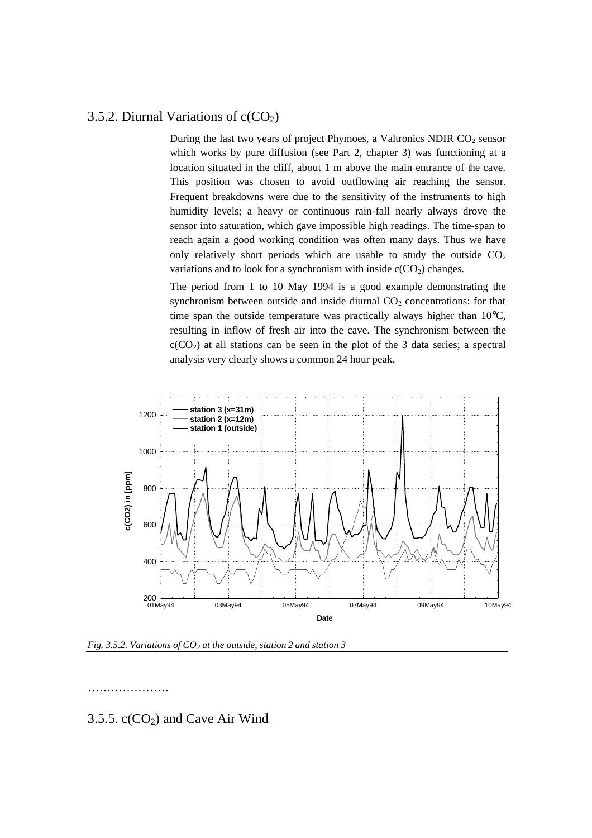## 3.5.2. Diurnal Variations of  $c(CO<sub>2</sub>)$

During the last two years of project Phymoes, a Valtronics NDIR  $CO<sub>2</sub>$  sensor which works by pure diffusion (see Part 2, chapter 3) was functioning at a location situated in the cliff, about 1 m above the main entrance of the cave. This position was chosen to avoid outflowing air reaching the sensor. Frequent breakdowns were due to the sensitivity of the instruments to high humidity levels; a heavy or continuous rain-fall nearly always drove the sensor into saturation, which gave impossible high readings. The time-span to reach again a good working condition was often many days. Thus we have only relatively short periods which are usable to study the outside  $CO<sub>2</sub>$ variations and to look for a synchronism with inside  $c(CO_2)$  changes.

The period from 1 to 10 May 1994 is a good example demonstrating the synchronism between outside and inside diurnal  $CO<sub>2</sub>$  concentrations: for that time span the outside temperature was practically always higher than 10°C, resulting in inflow of fresh air into the cave. The synchronism between the  $c(CO<sub>2</sub>)$  at all stations can be seen in the plot of the 3 data series; a spectral analysis very clearly shows a common 24 hour peak.



*Fig. 3.5.2. Variations of CO2 at the outside, station 2 and station 3*

……………………

## 3.5.5.  $c(CO<sub>2</sub>)$  and Cave Air Wind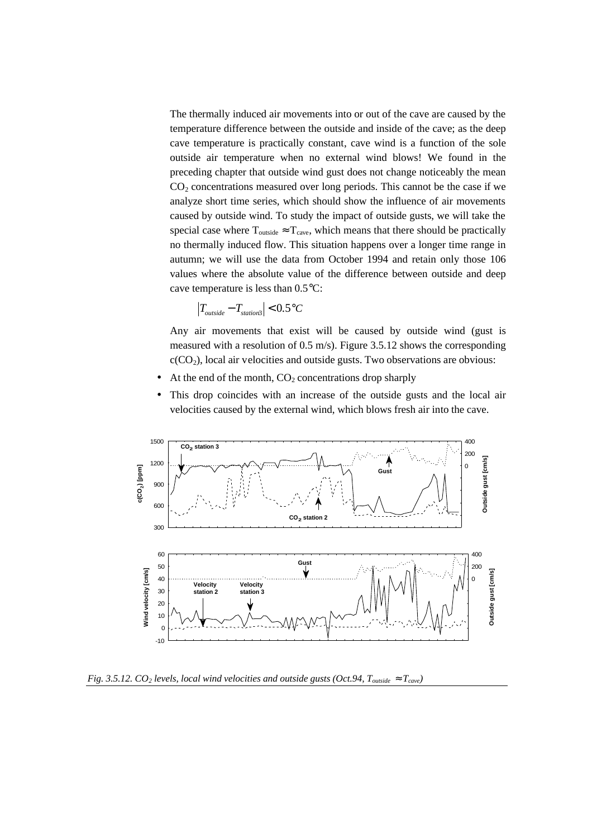The thermally induced air movements into or out of the cave are caused by the temperature difference between the outside and inside of the cave; as the deep cave temperature is practically constant, cave wind is a function of the sole outside air temperature when no external wind blows! We found in the preceding chapter that outside wind gust does not change noticeably the mean  $CO<sub>2</sub>$  concentrations measured over long periods. This cannot be the case if we analyze short time series, which should show the influence of air movements caused by outside wind. To study the impact of outside gusts, we will take the special case where  $T_{\text{outside}} \approx T_{\text{cave}}$ , which means that there should be practically no thermally induced flow. This situation happens over a longer time range in autumn; we will use the data from October 1994 and retain only those 106 values where the absolute value of the difference between outside and deep cave temperature is less than 0.5°C:

$$
\left|T_{outside} - T_{station3}\right| < 0.5 \, \mathrm{°C}
$$

Any air movements that exist will be caused by outside wind (gust is measured with a resolution of 0.5 m/s). Figure 3.5.12 shows the corresponding  $c(CO<sub>2</sub>)$ , local air velocities and outside gusts. Two observations are obvious:

- At the end of the month,  $CO<sub>2</sub>$  concentrations drop sharply
- This drop coincides with an increase of the outside gusts and the local air velocities caused by the external wind, which blows fresh air into the cave.



*Fig. 3.5.12. CO2 levels, local wind velocities and outside gusts (Oct.94, Toutside » Tcave)*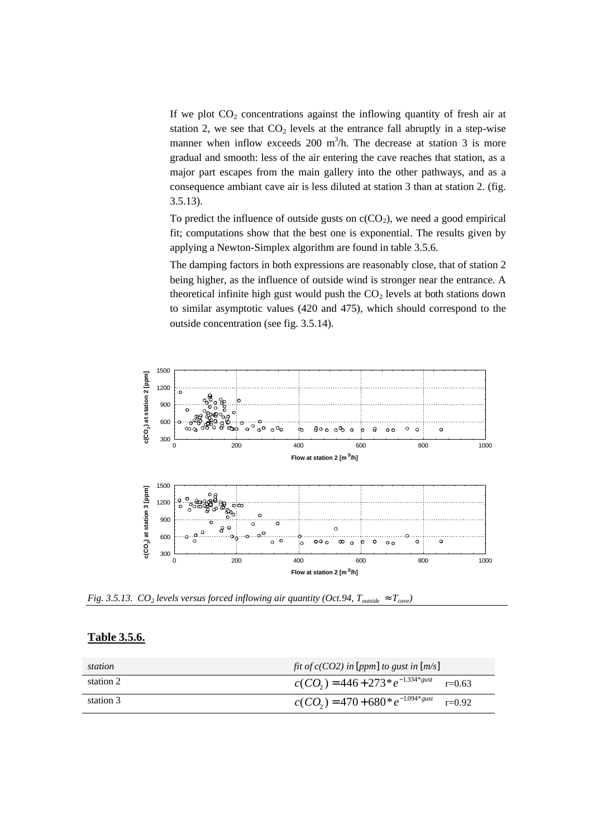If we plot  $CO<sub>2</sub>$  concentrations against the inflowing quantity of fresh air at station 2, we see that  $CO<sub>2</sub>$  levels at the entrance fall abruptly in a step-wise manner when inflow exceeds 200 m<sup>3</sup>/h. The decrease at station 3 is more gradual and smooth: less of the air entering the cave reaches that station, as a major part escapes from the main gallery into the other pathways, and as a consequence ambiant cave air is less diluted at station 3 than at station 2. (fig. 3.5.13).

To predict the influence of outside gusts on  $c(CO<sub>2</sub>)$ , we need a good empirical fit; computations show that the best one is exponential. The results given by applying a Newton-Simplex algorithm are found in table 3.5.6.

The damping factors in both expressions are reasonably close, that of station 2 being higher, as the influence of outside wind is stronger near the entrance. A theoretical infinite high gust would push the  $CO<sub>2</sub>$  levels at both stations down to similar asymptotic values (420 and 475), which should correspond to the outside concentration (see fig. 3.5.14).



*Fig. 3.5.13. CO2 levels versus forced inflowing air quantity (Oct.94, Toutside » Tcave)*

| station   | fit of $c(CO2)$ in [ppm] to gust in [m/s]        |
|-----------|--------------------------------------------------|
| station 2 | $c(CO_2) = 446 + 273 * e^{-1.334 * gust}$ r=0.63 |
| station 3 | $c(CO_2) = 470 + 680 * e^{-1.094 * gust}$ r=0.92 |

## **Table 3.5.6.**